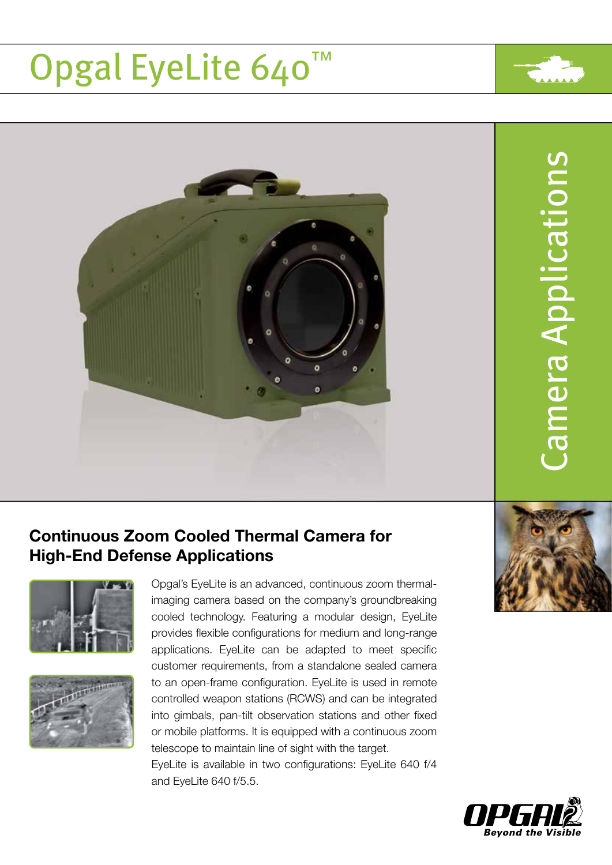# Opgal EyeLite 640™



### Continuous Zoom Cooled Thermal Camera for High-End Defense Applications





Opgal's EyeLite is an advanced, continuous zoom thermalimaging camera based on the company's groundbreaking cooled technology. Featuring a modular design, EyeLite provides flexible configurations for medium and long-range applications. EyeLite can be adapted to meet specific customer requirements, from a standalone sealed camera to an open-frame configuration. EyeLite is used in remote controlled weapon stations (RCWS) and can be integrated into gimbals, pan-tilt observation stations and other fixed or mobile platforms. It is equipped with a continuous zoom telescope to maintain line of sight with the target.

EyeLite is available in two configurations: EyeLite 640 f/4 and EyeLite 640 f/5.5.



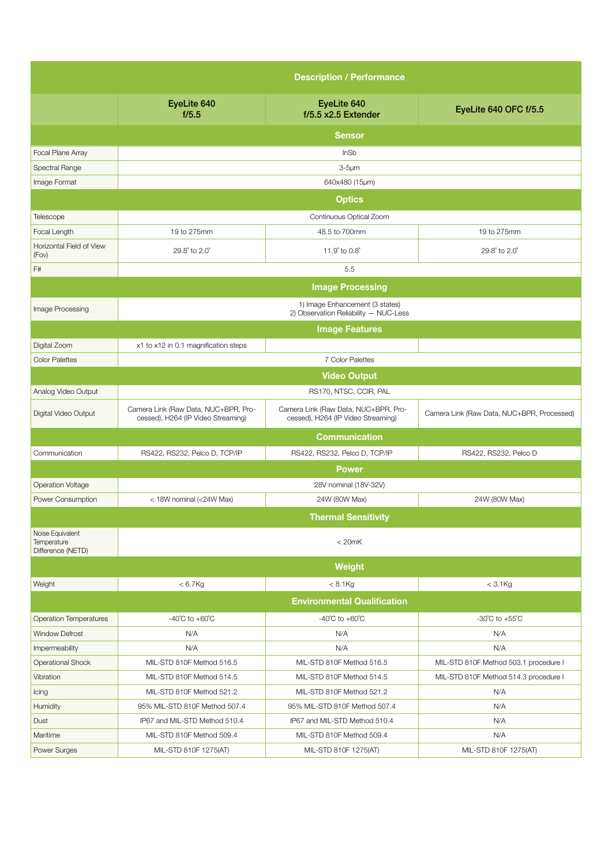|                                                      | <b>Description / Performance</b>                                           |                                                                            |                                            |  |
|------------------------------------------------------|----------------------------------------------------------------------------|----------------------------------------------------------------------------|--------------------------------------------|--|
|                                                      | EyeLite 640<br>f/5.5                                                       | EyeLite 640<br>f/5.5 x2.5 Extender                                         | EyeLite 640 OFC f/5.5                      |  |
|                                                      |                                                                            | <b>Sensor</b>                                                              |                                            |  |
| <b>Focal Plane Array</b>                             |                                                                            | InSb                                                                       |                                            |  |
| Spectral Range                                       |                                                                            | $3-5 \mu m$                                                                |                                            |  |
| Image Format                                         | 640x480 (15µm)                                                             |                                                                            |                                            |  |
|                                                      | <b>Optics</b>                                                              |                                                                            |                                            |  |
| Telescope                                            |                                                                            | Continuous Optical Zoom                                                    |                                            |  |
| Focal Length                                         | 19 to 275mm                                                                | 48.5 to 700mm                                                              | 19 to 275mm                                |  |
| Horizontal Field of View<br>(Fov)                    | 29.8° to 2.0°                                                              | 11.9° to 0.8°                                                              | 29.8° to 2.0°                              |  |
| F#                                                   |                                                                            | 5.5                                                                        |                                            |  |
|                                                      | <b>Image Processing</b>                                                    |                                                                            |                                            |  |
| Image Processing                                     | 1) Image Enhancement (3 states)<br>2) Observation Reliability - NUC-Less   |                                                                            |                                            |  |
|                                                      | <b>Image Features</b>                                                      |                                                                            |                                            |  |
| Digital Zoom                                         | x1 to x12 in 0.1 magnification steps                                       |                                                                            |                                            |  |
| <b>Color Palettes</b>                                |                                                                            | 7 Color Palettes                                                           |                                            |  |
|                                                      | <b>Video Output</b>                                                        |                                                                            |                                            |  |
| Analog Video Output                                  |                                                                            | RS170, NTSC, CCIR, PAL                                                     |                                            |  |
| Digital Video Output                                 | Camera Link (Raw Data, NUC+BPR, Pro-<br>cessed), H264 (IP Video Streaming) | Camera Link (Raw Data, NUC+BPR, Pro-<br>cessed), H264 (IP Video Streaming) | Camera Link (Raw Data, NUC+BPR, Processed) |  |
|                                                      |                                                                            | <b>Communication</b>                                                       |                                            |  |
| Communication                                        | RS422, RS232, Pelco D, TCP/IP                                              | RS422, RS232, Pelco D, TCP/IP                                              | RS422, RS232, Pelco D                      |  |
|                                                      |                                                                            | <b>Power</b>                                                               |                                            |  |
| <b>Operation Voltage</b>                             | 28V nominal (18V-32V)                                                      |                                                                            |                                            |  |
| Power Consumption                                    | < 18W nominal (<24W Max)                                                   | 24W (80W Max)                                                              | 24W (80W Max)                              |  |
|                                                      |                                                                            | <b>Thermal Sensitivity</b>                                                 |                                            |  |
| Noise Equivalent<br>Temperature<br>Difference (NETD) |                                                                            | < 20mK                                                                     |                                            |  |
|                                                      |                                                                            | Weight                                                                     |                                            |  |
| Weight                                               | $< 6.7$ Kg                                                                 | $< 8.1$ Kg                                                                 | $<$ 3.1 $Kg$                               |  |
|                                                      |                                                                            | <b>Environmental Qualification</b>                                         |                                            |  |
| <b>Operation Temperatures</b>                        | $-40^{\circ}$ C to $+60^{\circ}$ C                                         | $-40^{\circ}$ C to $+60^{\circ}$ C                                         | $-30^{\circ}$ C to $+55^{\circ}$ C         |  |
| <b>Window Defrost</b>                                | N/A                                                                        | N/A                                                                        | N/A                                        |  |
| Impermeability                                       | N/A                                                                        | N/A                                                                        | N/A                                        |  |
| <b>Operational Shock</b>                             | MIL-STD 810F Method 516.5                                                  | MIL-STD 810F Method 516.5                                                  | MIL-STD 810F Method 503.1 procedure I      |  |
| Vibration                                            | MIL-STD 810F Method 514.5                                                  | MIL-STD 810F Method 514.5                                                  | MIL-STD 810F Method 514.3 procedure I      |  |
| Icing                                                | MIL-STD 810F Method 521.2                                                  | MIL-STD 810F Method 521.2                                                  | N/A                                        |  |
| Humidity                                             | 95% MIL-STD 810F Method 507.4                                              | 95% MIL-STD 810F Method 507.4                                              | N/A                                        |  |
| Dust                                                 | IP67 and MIL-STD Method 510.4                                              | IP67 and MIL-STD Method 510.4                                              | N/A                                        |  |
| Maritime                                             | MIL-STD 810F Method 509.4                                                  | MIL-STD 810F Method 509.4                                                  | N/A                                        |  |
| Power Surges                                         | MIL-STD 810F 1275(AT)                                                      | MIL-STD 810F 1275(AT)                                                      | MIL-STD 810F 1275(AT)                      |  |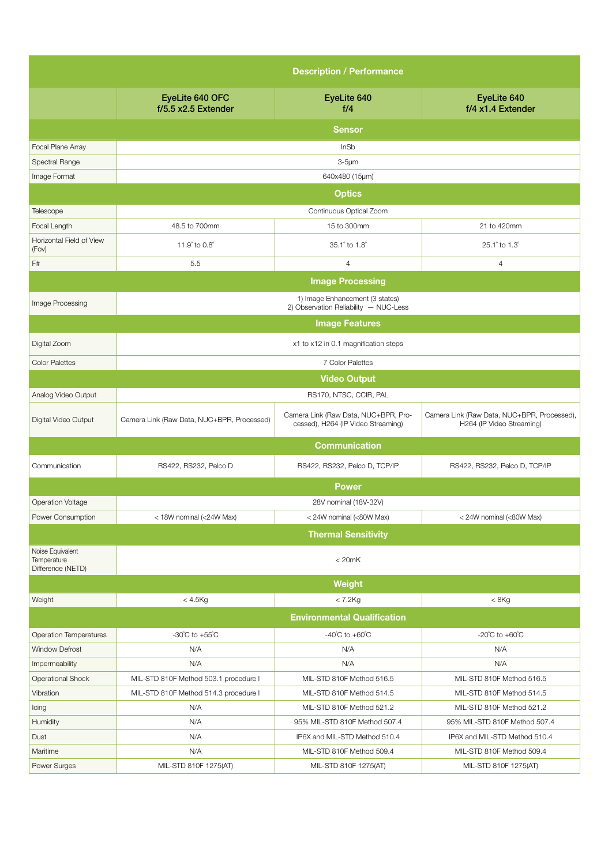|                                                      | <b>Description / Performance</b>           |                                                                            |                                                                          |  |
|------------------------------------------------------|--------------------------------------------|----------------------------------------------------------------------------|--------------------------------------------------------------------------|--|
|                                                      | EyeLite 640 OFC<br>f/5.5 x2.5 Extender     | EyeLite 640<br>f/4                                                         | EyeLite 640<br>f/4 x1.4 Extender                                         |  |
|                                                      |                                            | <b>Sensor</b>                                                              |                                                                          |  |
| <b>Focal Plane Array</b>                             |                                            | InSb                                                                       |                                                                          |  |
| Spectral Range                                       |                                            | $3-5 \mu m$                                                                |                                                                          |  |
| Image Format                                         |                                            | 640x480 (15µm)                                                             |                                                                          |  |
|                                                      | <b>Optics</b>                              |                                                                            |                                                                          |  |
| Telescope                                            | Continuous Optical Zoom                    |                                                                            |                                                                          |  |
| Focal Length                                         | 48.5 to 700mm                              | 15 to 300mm                                                                | 21 to 420mm                                                              |  |
| Horizontal Field of View<br>(Fov)                    | 11.9° to 0.8°                              | 35.1° to 1.8°                                                              | 25.1° to 1.3°                                                            |  |
| F#                                                   | 5.5                                        | $\overline{4}$                                                             | 4                                                                        |  |
|                                                      | <b>Image Processing</b>                    |                                                                            |                                                                          |  |
| Image Processing                                     |                                            | 1) Image Enhancement (3 states)<br>2) Observation Reliability - NUC-Less   |                                                                          |  |
|                                                      |                                            | <b>Image Features</b>                                                      |                                                                          |  |
| Digital Zoom                                         | x1 to x12 in 0.1 magnification steps       |                                                                            |                                                                          |  |
| <b>Color Palettes</b>                                | 7 Color Palettes                           |                                                                            |                                                                          |  |
|                                                      | <b>Video Output</b>                        |                                                                            |                                                                          |  |
| Analog Video Output                                  |                                            | RS170, NTSC, CCIR, PAL                                                     |                                                                          |  |
| Digital Video Output                                 | Camera Link (Raw Data, NUC+BPR, Processed) | Camera Link (Raw Data, NUC+BPR, Pro-<br>cessed), H264 (IP Video Streaming) | Camera Link (Raw Data, NUC+BPR, Processed),<br>H264 (IP Video Streaming) |  |
|                                                      |                                            | <b>Communication</b>                                                       |                                                                          |  |
| Communication                                        | RS422, RS232, Pelco D                      | RS422, RS232, Pelco D, TCP/IP                                              | RS422, RS232, Pelco D, TCP/IP                                            |  |
|                                                      |                                            | Power                                                                      |                                                                          |  |
| <b>Operation Voltage</b>                             |                                            | 28V nominal (18V-32V)                                                      |                                                                          |  |
| Power Consumption                                    | < 18W nominal (<24W Max)                   | < 24W nominal (<80W Max)                                                   | < 24W nominal (<80W Max)                                                 |  |
|                                                      |                                            | <b>Thermal Sensitivity</b>                                                 |                                                                          |  |
| Noise Equivalent<br>Temperature<br>Difference (NETD) |                                            | < 20mK                                                                     |                                                                          |  |
|                                                      |                                            | Weight                                                                     |                                                                          |  |
| Weight                                               | $< 4.5$ Kg                                 | $< 7.2$ Kg                                                                 | < 8Kg                                                                    |  |
|                                                      |                                            | <b>Environmental Qualification</b>                                         |                                                                          |  |
| <b>Operation Temperatures</b>                        | -30 $^{\circ}$ C to +55 $^{\circ}$ C       | $-40^{\circ}$ C to $+60^{\circ}$ C                                         | -20 $^{\circ}$ C to +60 $^{\circ}$ C                                     |  |
| <b>Window Defrost</b>                                | N/A                                        | N/A                                                                        | N/A                                                                      |  |
| Impermeability                                       | N/A                                        | N/A                                                                        | N/A                                                                      |  |
| Operational Shock                                    | MIL-STD 810F Method 503.1 procedure I      | MIL-STD 810F Method 516.5                                                  | MIL-STD 810F Method 516.5                                                |  |
| Vibration                                            | MIL-STD 810F Method 514.3 procedure I      | MIL-STD 810F Method 514.5                                                  | MIL-STD 810F Method 514.5                                                |  |
| Icing                                                | N/A                                        | MIL-STD 810F Method 521.2                                                  | MIL-STD 810F Method 521.2                                                |  |
| Humidity                                             | N/A                                        | 95% MIL-STD 810F Method 507.4                                              | 95% MIL-STD 810F Method 507.4                                            |  |
| Dust                                                 | N/A                                        | IP6X and MIL-STD Method 510.4                                              | IP6X and MIL-STD Method 510.4                                            |  |
| Maritime                                             | N/A                                        | MIL-STD 810F Method 509.4                                                  | MIL-STD 810F Method 509.4                                                |  |
| Power Surges                                         | MIL-STD 810F 1275(AT)                      | MIL-STD 810F 1275(AT)                                                      | MIL-STD 810F 1275(AT)                                                    |  |